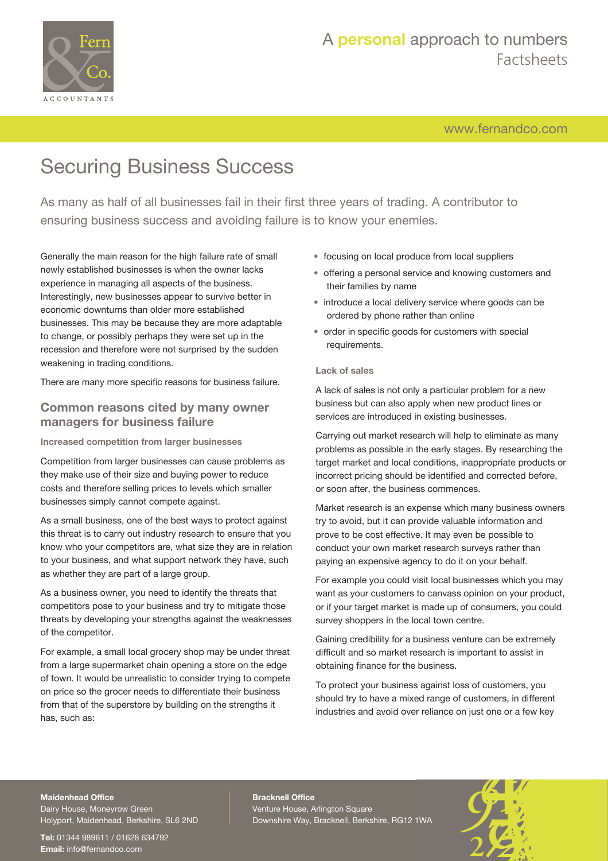

[www.fernandco.com](http://www.fernandco.com)

# Securing Business Success

As many as half of all businesses fail in their first three years of trading. A contributor to ensuring business success and avoiding failure is to know your enemies.

Generally the main reason for the high failure rate of small newly established businesses is when the owner lacks experience in managing all aspects of the business. Interestingly, new businesses appear to survive better in economic downturns than older more established businesses. This may be because they are more adaptable to change, or possibly perhaps they were set up in the recession and therefore were not surprised by the sudden weakening in trading conditions.

There are many more specific reasons for business failure.

### **Common reasons cited by many owner managers for business failure**

**Increased competition from larger businesses**

Competition from larger businesses can cause problems as they make use of their size and buying power to reduce costs and therefore selling prices to levels which smaller businesses simply cannot compete against.

As a small business, one of the best ways to protect against this threat is to carry out industry research to ensure that you know who your competitors are, what size they are in relation to your business, and what support network they have, such as whether they are part of a large group.

As a business owner, you need to identify the threats that competitors pose to your business and try to mitigate those threats by developing your strengths against the weaknesses of the competitor.

For example, a small local grocery shop may be under threat from a large supermarket chain opening a store on the edge of town. It would be unrealistic to consider trying to compete on price so the grocer needs to differentiate their business from that of the superstore by building on the strengths it has, such as:

- focusing on local produce from local suppliers
- offering a personal service and knowing customers and their families by name
- introduce a local delivery service where goods can be ordered by phone rather than online
- order in specific goods for customers with special requirements.

### **Lack of sales**

A lack of sales is not only a particular problem for a new business but can also apply when new product lines or services are introduced in existing businesses.

Carrying out market research will help to eliminate as many problems as possible in the early stages. By researching the target market and local conditions, inappropriate products or incorrect pricing should be identified and corrected before, or soon after, the business commences.

Market research is an expense which many business owners try to avoid, but it can provide valuable information and prove to be cost effective. It may even be possible to conduct your own market research surveys rather than paying an expensive agency to do it on your behalf.

For example you could visit local businesses which you may want as your customers to canvass opinion on your product, or if your target market is made up of consumers, you could survey shoppers in the local town centre.

Gaining credibility for a business venture can be extremely difficult and so market research is important to assist in obtaining finance for the business.

To protect your business against loss of customers, you should try to have a mixed range of customers, in different industries and avoid over reliance on just one or a few key

#### **Maidenhead Office**

Dairy House, Moneyrow Green Holyport, Maidenhead, Berkshire, SL6 2ND

**Tel:** 01344 989611 / 01628 634792 **Email:** [info@fernandco.com](mailto:info@fernandco.com)

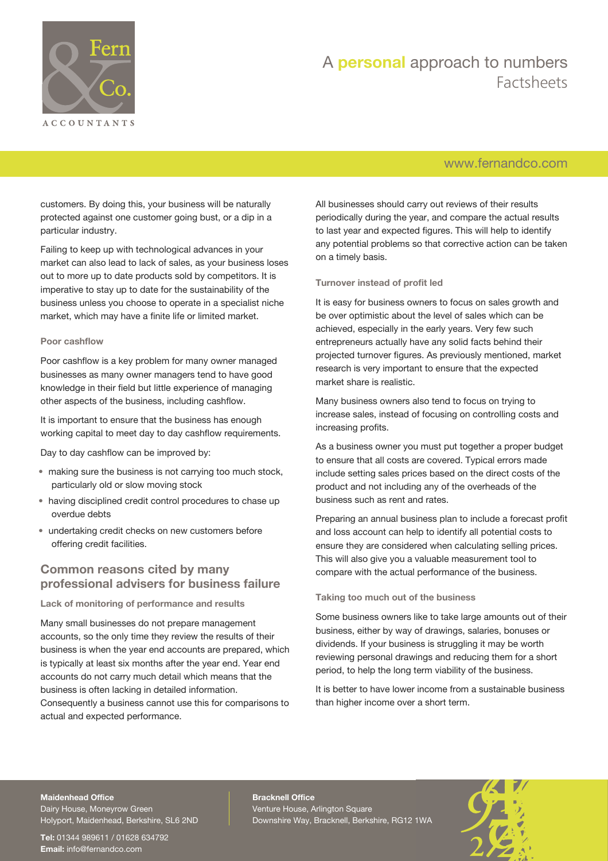

### [www.fernandco.com](http://www.fernandco.com)

customers. By doing this, your business will be naturally protected against one customer going bust, or a dip in a particular industry.

Failing to keep up with technological advances in your market can also lead to lack of sales, as your business loses out to more up to date products sold by competitors. It is imperative to stay up to date for the sustainability of the business unless you choose to operate in a specialist niche market, which may have a finite life or limited market.

#### **Poor cashflow**

Poor cashflow is a key problem for many owner managed businesses as many owner managers tend to have good knowledge in their field but little experience of managing other aspects of the business, including cashflow.

It is important to ensure that the business has enough working capital to meet day to day cashflow requirements.

Day to day cashflow can be improved by:

- making sure the business is not carrying too much stock, particularly old or slow moving stock
- having disciplined credit control procedures to chase up overdue debts
- undertaking credit checks on new customers before offering credit facilities.

### **Common reasons cited by many professional advisers for business failure**

### **Lack of monitoring of performance and results**

Many small businesses do not prepare management accounts, so the only time they review the results of their business is when the year end accounts are prepared, which is typically at least six months after the year end. Year end accounts do not carry much detail which means that the business is often lacking in detailed information. Consequently a business cannot use this for comparisons to actual and expected performance.

All businesses should carry out reviews of their results periodically during the year, and compare the actual results to last year and expected figures. This will help to identify any potential problems so that corrective action can be taken on a timely basis.

#### **Turnover instead of profit led**

It is easy for business owners to focus on sales growth and be over optimistic about the level of sales which can be achieved, especially in the early years. Very few such entrepreneurs actually have any solid facts behind their projected turnover figures. As previously mentioned, market research is very important to ensure that the expected market share is realistic.

Many business owners also tend to focus on trying to increase sales, instead of focusing on controlling costs and increasing profits.

As a business owner you must put together a proper budget to ensure that all costs are covered. Typical errors made include setting sales prices based on the direct costs of the product and not including any of the overheads of the business such as rent and rates.

Preparing an annual business plan to include a forecast profit and loss account can help to identify all potential costs to ensure they are considered when calculating selling prices. This will also give you a valuable measurement tool to compare with the actual performance of the business.

#### **Taking too much out of the business**

Some business owners like to take large amounts out of their business, either by way of drawings, salaries, bonuses or dividends. If your business is struggling it may be worth reviewing personal drawings and reducing them for a short period, to help the long term viability of the business.

It is better to have lower income from a sustainable business than higher income over a short term.

#### **Maidenhead Office**

Dairy House, Moneyrow Green Holyport, Maidenhead, Berkshire, SL6 2ND

**Tel:** 01344 989611 / 01628 634792 **Email:** [info@fernandco.com](mailto:info@fernandco.com)

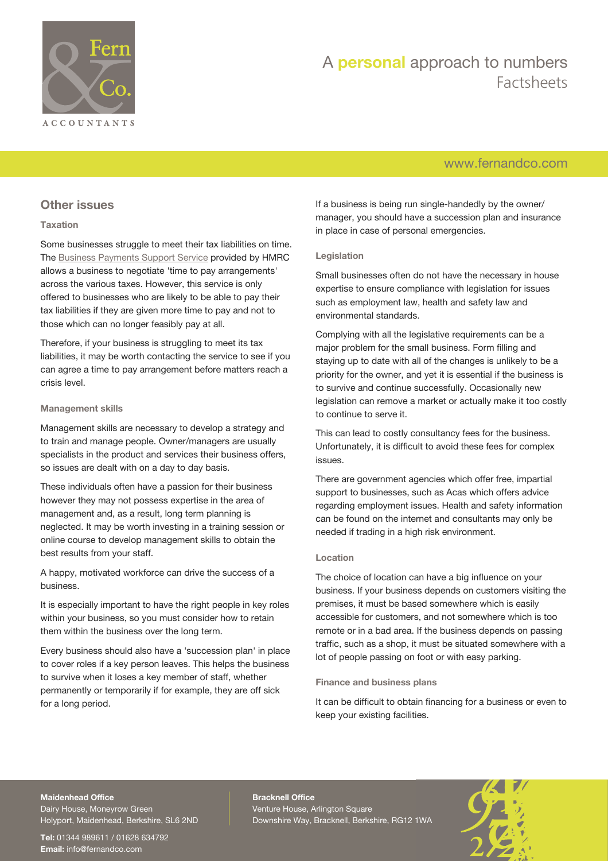

### [www.fernandco.com](http://www.fernandco.com)

### **Other issues**

### **Taxation**

Some businesses struggle to meet their tax liabilities on time. The [Business Payments Support Service](https://www.gov.uk/government/organisations/hm-revenue-customs/contact/business-payment-support-service) provided by HMRC allows a business to negotiate 'time to pay arrangements' across the various taxes. However, this service is only offered to businesses who are likely to be able to pay their tax liabilities if they are given more time to pay and not to those which can no longer feasibly pay at all.

Therefore, if your business is struggling to meet its tax liabilities, it may be worth contacting the service to see if you can agree a time to pay arrangement before matters reach a crisis level.

#### **Management skills**

Management skills are necessary to develop a strategy and to train and manage people. Owner/managers are usually specialists in the product and services their business offers, so issues are dealt with on a day to day basis.

These individuals often have a passion for their business however they may not possess expertise in the area of management and, as a result, long term planning is neglected. It may be worth investing in a training session or online course to develop management skills to obtain the best results from your staff.

A happy, motivated workforce can drive the success of a business.

It is especially important to have the right people in key roles within your business, so you must consider how to retain them within the business over the long term.

Every business should also have a 'succession plan' in place to cover roles if a key person leaves. This helps the business to survive when it loses a key member of staff, whether permanently or temporarily if for example, they are off sick for a long period.

If a business is being run single-handedly by the owner/ manager, you should have a succession plan and insurance in place in case of personal emergencies.

### **Legislation**

Small businesses often do not have the necessary in house expertise to ensure compliance with legislation for issues such as employment law, health and safety law and environmental standards.

Complying with all the legislative requirements can be a major problem for the small business. Form filling and staying up to date with all of the changes is unlikely to be a priority for the owner, and yet it is essential if the business is to survive and continue successfully. Occasionally new legislation can remove a market or actually make it too costly to continue to serve it.

This can lead to costly consultancy fees for the business. Unfortunately, it is difficult to avoid these fees for complex issues.

There are government agencies which offer free, impartial support to businesses, such as Acas which offers advice regarding employment issues. Health and safety information can be found on the internet and consultants may only be needed if trading in a high risk environment.

### **Location**

The choice of location can have a big influence on your business. If your business depends on customers visiting the premises, it must be based somewhere which is easily accessible for customers, and not somewhere which is too remote or in a bad area. If the business depends on passing traffic, such as a shop, it must be situated somewhere with a lot of people passing on foot or with easy parking.

#### **Finance and business plans**

It can be difficult to obtain financing for a business or even to keep your existing facilities.

### **Maidenhead Office**

Dairy House, Moneyrow Green Holyport, Maidenhead, Berkshire, SL6 2ND

**Tel:** 01344 989611 / 01628 634792 **Email:** [info@fernandco.com](mailto:info@fernandco.com)